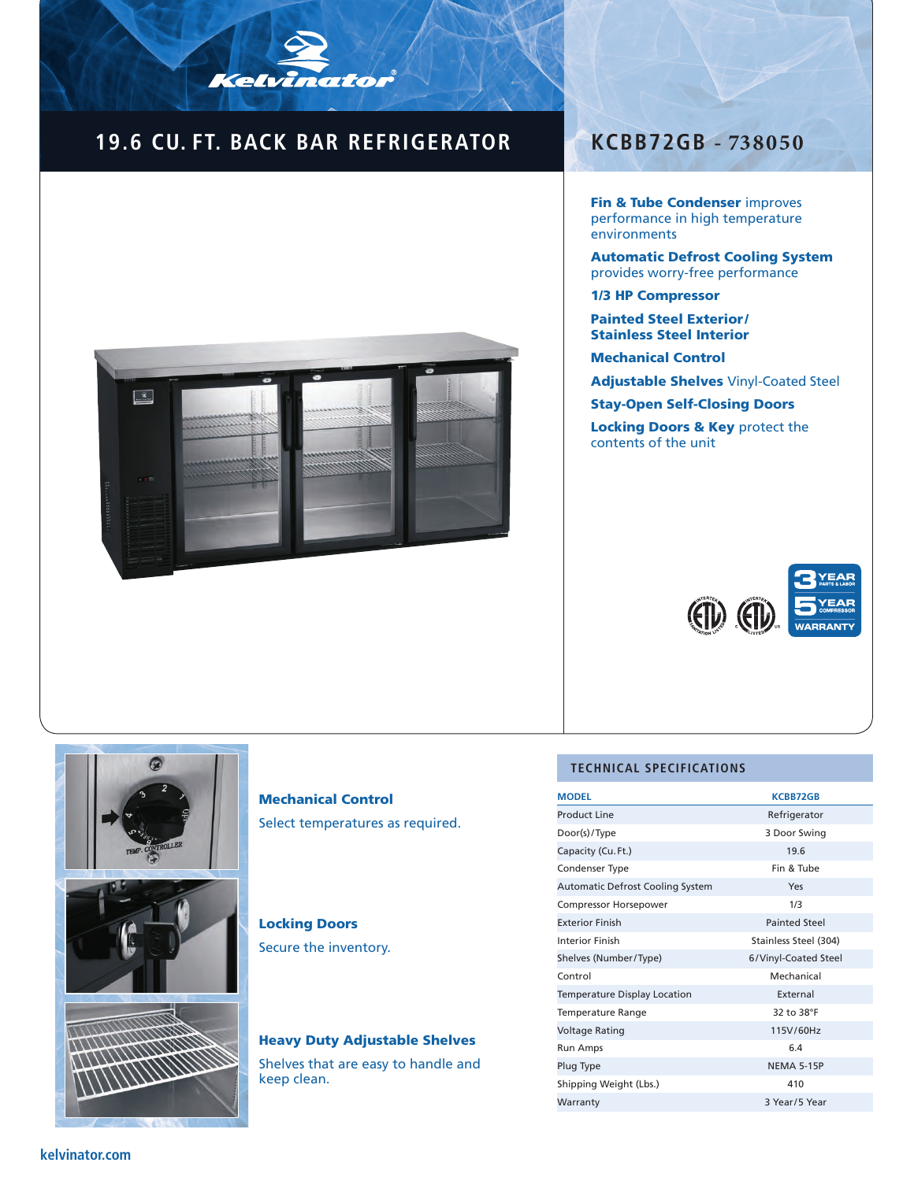### **19.6 CU. FT. BACK BAR REFRIGERATOR**

Kelvinator



### **KCBB72GB - 738050**

Fin & Tube Condenser improves performance in high temperature environments

Automatic Defrost Cooling System provides worry-free performance

1/3 HP Compressor

Painted Steel Exterior / Stainless Steel Interior

Mechanical Control

Adjustable Shelves Vinyl-Coated Steel

Stay-Open Self-Closing Doors

Locking Doors & Key protect the contents of the unit







#### Mechanical Control Select temperatures as required.

Locking Doors

Secure the inventory.

# Heavy Duty Adjustable Shelves

Shelves that are easy to handle and keep clean.

#### **TECHNICAL SPECIFICATIONS**

| <b>MODEL</b>                            | <b>KCBB72GB</b>       |  |
|-----------------------------------------|-----------------------|--|
| <b>Product Line</b>                     | Refrigerator          |  |
| Door(s)/Type                            | 3 Door Swing          |  |
| Capacity (Cu. Ft.)                      | 19.6                  |  |
| Condenser Type                          | Fin & Tube            |  |
| <b>Automatic Defrost Cooling System</b> | Yes                   |  |
| <b>Compressor Horsepower</b>            | 1/3                   |  |
| <b>Exterior Finish</b>                  | <b>Painted Steel</b>  |  |
| Interior Finish                         | Stainless Steel (304) |  |
| Shelves (Number/Type)                   | 6/Vinyl-Coated Steel  |  |
| Control                                 | Mechanical            |  |
| Temperature Display Location            | External              |  |
| <b>Temperature Range</b>                | 32 to 38°F            |  |
| <b>Voltage Rating</b>                   | 115V/60Hz             |  |
| Run Amps                                | 6.4                   |  |
| Plug Type                               | <b>NEMA 5-15P</b>     |  |
| Shipping Weight (Lbs.)                  | 410                   |  |
| Warranty                                | 3 Year/5 Year         |  |